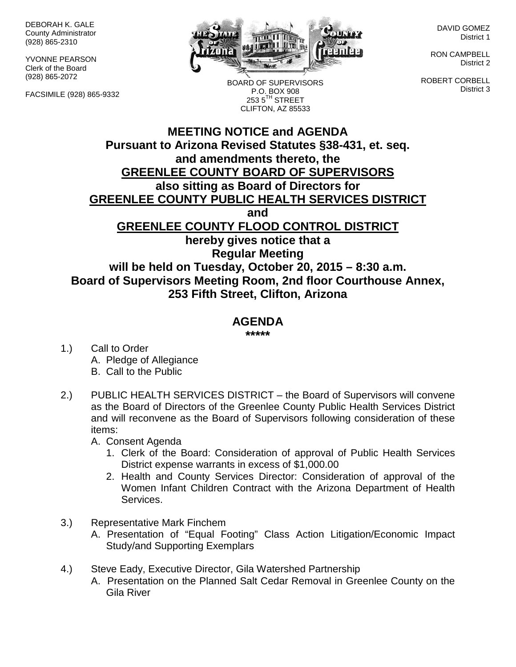DEBORAH K. GALE County Administrator (928) 865-2310

YVONNE PEARSON Clerk of the Board (928) 865-2072

FACSIMILE (928) 865-9332



BOARD OF SUPERVISORS P.O. BOX 908  $2535^{\text{TH}}$  STREET CLIFTON, AZ 85533

DAVID GOMEZ District 1

RON CAMPBELL District 2

ROBERT CORBELL District 3

## **MEETING NOTICE and AGENDA Pursuant to Arizona Revised Statutes §38-431, et. seq. and amendments thereto, the GREENLEE COUNTY BOARD OF SUPERVISORS also sitting as Board of Directors for GREENLEE COUNTY PUBLIC HEALTH SERVICES DISTRICT and GREENLEE COUNTY FLOOD CONTROL DISTRICT hereby gives notice that a Regular Meeting will be held on Tuesday, October 20, 2015 – 8:30 a.m. Board of Supervisors Meeting Room, 2nd floor Courthouse Annex, 253 Fifth Street, Clifton, Arizona**

## **AGENDA**

**\*\*\*\*\***

- 1.) Call to Order A. Pledge of Allegiance B. Call to the Public
- 2.) PUBLIC HEALTH SERVICES DISTRICT the Board of Supervisors will convene as the Board of Directors of the Greenlee County Public Health Services District and will reconvene as the Board of Supervisors following consideration of these items:

A. Consent Agenda

- 1. Clerk of the Board: Consideration of approval of Public Health Services District expense warrants in excess of \$1,000.00
- 2. Health and County Services Director: Consideration of approval of the Women Infant Children Contract with the Arizona Department of Health Services.
- 3.) Representative Mark Finchem
	- A. Presentation of "Equal Footing" Class Action Litigation/Economic Impact Study/and Supporting Exemplars
- 4.) Steve Eady, Executive Director, Gila Watershed Partnership
	- A. Presentation on the Planned Salt Cedar Removal in Greenlee County on the Gila River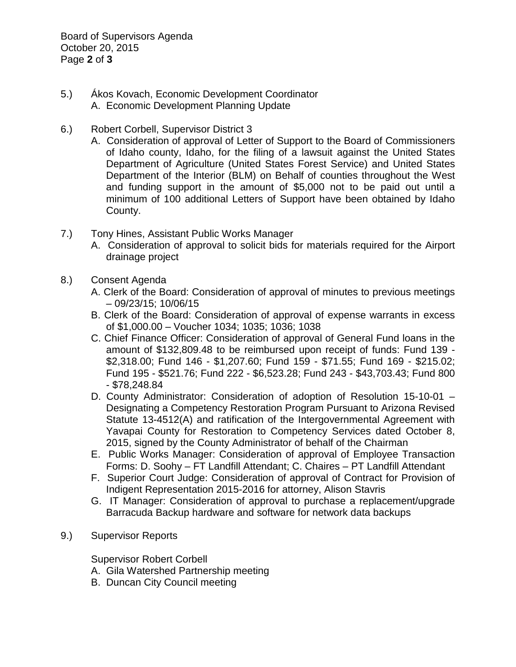Board of Supervisors Agenda October 20, 2015 Page **2** of **3**

- 5.) Ákos Kovach, Economic Development Coordinator A. Economic Development Planning Update
- 6.) Robert Corbell, Supervisor District 3
	- A. Consideration of approval of Letter of Support to the Board of Commissioners of Idaho county, Idaho, for the filing of a lawsuit against the United States Department of Agriculture (United States Forest Service) and United States Department of the Interior (BLM) on Behalf of counties throughout the West and funding support in the amount of \$5,000 not to be paid out until a minimum of 100 additional Letters of Support have been obtained by Idaho County.
- 7.) Tony Hines, Assistant Public Works Manager
	- A. Consideration of approval to solicit bids for materials required for the Airport drainage project
- 8.) Consent Agenda
	- A. Clerk of the Board: Consideration of approval of minutes to previous meetings – 09/23/15; 10/06/15
	- B. Clerk of the Board: Consideration of approval of expense warrants in excess of \$1,000.00 – Voucher 1034; 1035; 1036; 1038
	- C. Chief Finance Officer: Consideration of approval of General Fund loans in the amount of \$132,809.48 to be reimbursed upon receipt of funds: Fund 139 - \$2,318.00; Fund 146 - \$1,207.60; Fund 159 - \$71.55; Fund 169 - \$215.02; Fund 195 - \$521.76; Fund 222 - \$6,523.28; Fund 243 - \$43,703.43; Fund 800 - \$78,248.84
	- D. County Administrator: Consideration of adoption of Resolution 15-10-01 Designating a Competency Restoration Program Pursuant to Arizona Revised Statute 13-4512(A) and ratification of the Intergovernmental Agreement with Yavapai County for Restoration to Competency Services dated October 8, 2015, signed by the County Administrator of behalf of the Chairman
	- E. Public Works Manager: Consideration of approval of Employee Transaction Forms: D. Soohy – FT Landfill Attendant; C. Chaires – PT Landfill Attendant
	- F. Superior Court Judge: Consideration of approval of Contract for Provision of Indigent Representation 2015-2016 for attorney, Alison Stavris
	- G. IT Manager: Consideration of approval to purchase a replacement/upgrade Barracuda Backup hardware and software for network data backups
- 9.) Supervisor Reports

Supervisor Robert Corbell

- A. Gila Watershed Partnership meeting
- B. Duncan City Council meeting